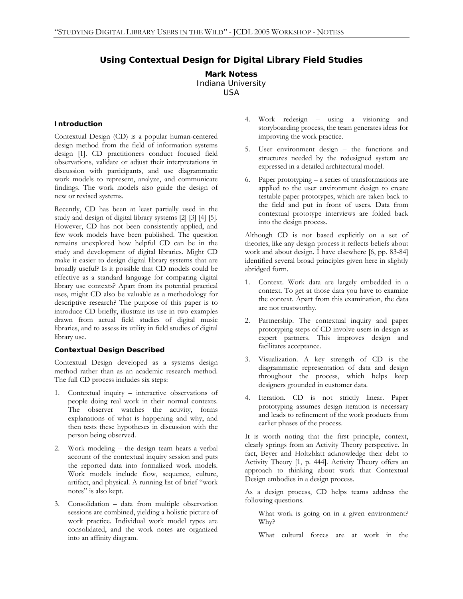# **Using Contextual Design for Digital Library Field Studies**

# **Mark Notess**  Indiana University

USA

#### **Introduction**

Contextual Design (CD) is a popular human-centered design method from the field of information systems design [1]. CD practitioners conduct focused field observations, validate or adjust their interpretations in discussion with participants, and use diagrammatic work models to represent, analyze, and communicate findings. The work models also guide the design of new or revised systems.

Recently, CD has been at least partially used in the study and design of digital library systems [2] [3] [4] [5]. However, CD has not been consistently applied, and few work models have been published. The question remains unexplored how helpful CD can be in the study and development of digital libraries. Might CD make it easier to design digital library systems that are broadly useful? Is it possible that CD models could be effective as a standard language for comparing digital library use contexts? Apart from its potential practical uses, might CD also be valuable as a methodology for descriptive research? The purpose of this paper is to introduce CD briefly, illustrate its use in two examples drawn from actual field studies of digital music libraries, and to assess its utility in field studies of digital library use.

# **Contextual Design Described**

Contextual Design developed as a systems design method rather than as an academic research method. The full CD process includes six steps:

- 1. Contextual inquiry interactive observations of people doing real work in their normal contexts. The observer watches the activity, forms explanations of what is happening and why, and then tests these hypotheses in discussion with the person being observed.
- 2. Work modeling the design team hears a verbal account of the contextual inquiry session and puts the reported data into formalized work models. Work models include flow, sequence, culture, artifact, and physical. A running list of brief "work notes" is also kept.
- 3. Consolidation data from multiple observation sessions are combined, yielding a holistic picture of work practice. Individual work model types are consolidated, and the work notes are organized into an affinity diagram.
- 4. Work redesign using a visioning and storyboarding process, the team generates ideas for improving the work practice.
- 5. User environment design the functions and structures needed by the redesigned system are expressed in a detailed architectural model.
- 6. Paper prototyping a series of transformations are applied to the user environment design to create testable paper prototypes, which are taken back to the field and put in front of users. Data from contextual prototype interviews are folded back into the design process.

Although CD is not based explicitly on a set of theories, like any design process it reflects beliefs about work and about design. I have elsewhere [6, pp. 83-84] identified several broad principles given here in slightly abridged form.

- 1. Context. Work data are largely embedded in a context. To get at those data you have to examine the context. Apart from this examination, the data are not trustworthy.
- 2. Partnership. The contextual inquiry and paper prototyping steps of CD involve users in design as expert partners. This improves design and facilitates acceptance.
- 3. Visualization. A key strength of CD is the diagrammatic representation of data and design throughout the process, which helps keep designers grounded in customer data.
- 4. Iteration. CD is not strictly linear. Paper prototyping assumes design iteration is necessary and leads to refinement of the work products from earlier phases of the process.

It is worth noting that the first principle, context, clearly springs from an Activity Theory perspective. In fact, Beyer and Holtzblatt acknowledge their debt to Activity Theory [1, p. 444]. Activity Theory offers an approach to thinking about work that Contextual Design embodies in a design process.

As a design process, CD helps teams address the following questions.

What work is going on in a given environment? Why?

What cultural forces are at work in the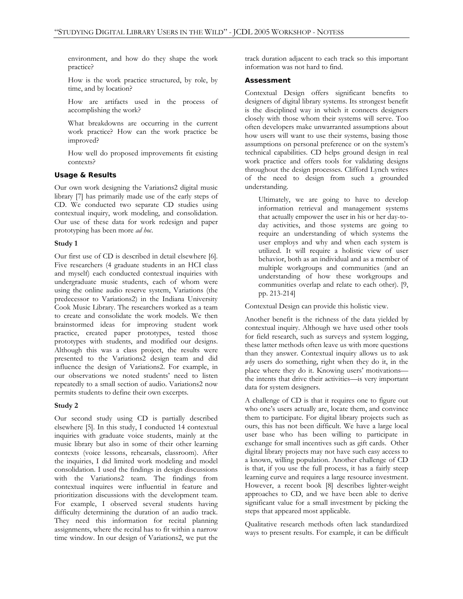environment, and how do they shape the work practice?

 How is the work practice structured, by role, by time, and by location?

 How are artifacts used in the process of accomplishing the work?

 What breakdowns are occurring in the current work practice? How can the work practice be improved?

 How well do proposed improvements fit existing contexts?

## **Usage & Results**

Our own work designing the Variations2 digital music library [7] has primarily made use of the early steps of CD. We conducted two separate CD studies using contextual inquiry, work modeling, and consolidation. Our use of these data for work redesign and paper prototyping has been more *ad hoc*.

#### **Study 1**

Our first use of CD is described in detail elsewhere [6]. Five researchers (4 graduate students in an HCI class and myself) each conducted contextual inquiries with undergraduate music students, each of whom were using the online audio reserve system, Variations (the predecessor to Variations2) in the Indiana University Cook Music Library. The researchers worked as a team to create and consolidate the work models. We then brainstormed ideas for improving student work practice, created paper prototypes, tested those prototypes with students, and modified our designs. Although this was a class project, the results were presented to the Variations2 design team and did influence the design of Variations2. For example, in our observations we noted students' need to listen repeatedly to a small section of audio. Variations2 now permits students to define their own excerpts.

# **Study 2**

Our second study using CD is partially described elsewhere [5]. In this study, I conducted 14 contextual inquiries with graduate voice students, mainly at the music library but also in some of their other learning contexts (voice lessons, rehearsals, classroom). After the inquiries, I did limited work modeling and model consolidation. I used the findings in design discussions with the Variations2 team. The findings from contextual inquires were influential in feature and prioritization discussions with the development team. For example, I observed several students having difficulty determining the duration of an audio track. They need this information for recital planning assignments, where the recital has to fit within a narrow time window. In our design of Variations2, we put the

track duration adjacent to each track so this important information was not hard to find.

## **Assessment**

Contextual Design offers significant benefits to designers of digital library systems. Its strongest benefit is the disciplined way in which it connects designers closely with those whom their systems will serve. Too often developers make unwarranted assumptions about how users will want to use their systems, basing those assumptions on personal preference or on the system's technical capabilities. CD helps ground design in real work practice and offers tools for validating designs throughout the design processes. Clifford Lynch writes of the need to design from such a grounded understanding.

Ultimately, we are going to have to develop information retrieval and management systems that actually empower the user in his or her day-today activities, and those systems are going to require an understanding of which systems the user employs and why and when each system is utilized. It will require a holistic view of user behavior, both as an individual and as a member of multiple workgroups and communities (and an understanding of how these workgroups and communities overlap and relate to each other). [9, pp. 213-214]

Contextual Design can provide this holistic view.

Another benefit is the richness of the data yielded by contextual inquiry. Although we have used other tools for field research, such as surveys and system logging, these latter methods often leave us with more questions than they answer. Contextual inquiry allows us to ask *why* users do something, right when they do it, in the place where they do it. Knowing users' motivations the intents that drive their activities—is very important data for system designers.

A challenge of CD is that it requires one to figure out who one's users actually are, locate them, and convince them to participate. For digital library projects such as ours, this has not been difficult. We have a large local user base who has been willing to participate in exchange for small incentives such as gift cards. Other digital library projects may not have such easy access to a known, willing population. Another challenge of CD is that, if you use the full process, it has a fairly steep learning curve and requires a large resource investment. However, a recent book [8] describes lighter-weight approaches to CD, and we have been able to derive significant value for a small investment by picking the steps that appeared most applicable.

Qualitative research methods often lack standardized ways to present results. For example, it can be difficult